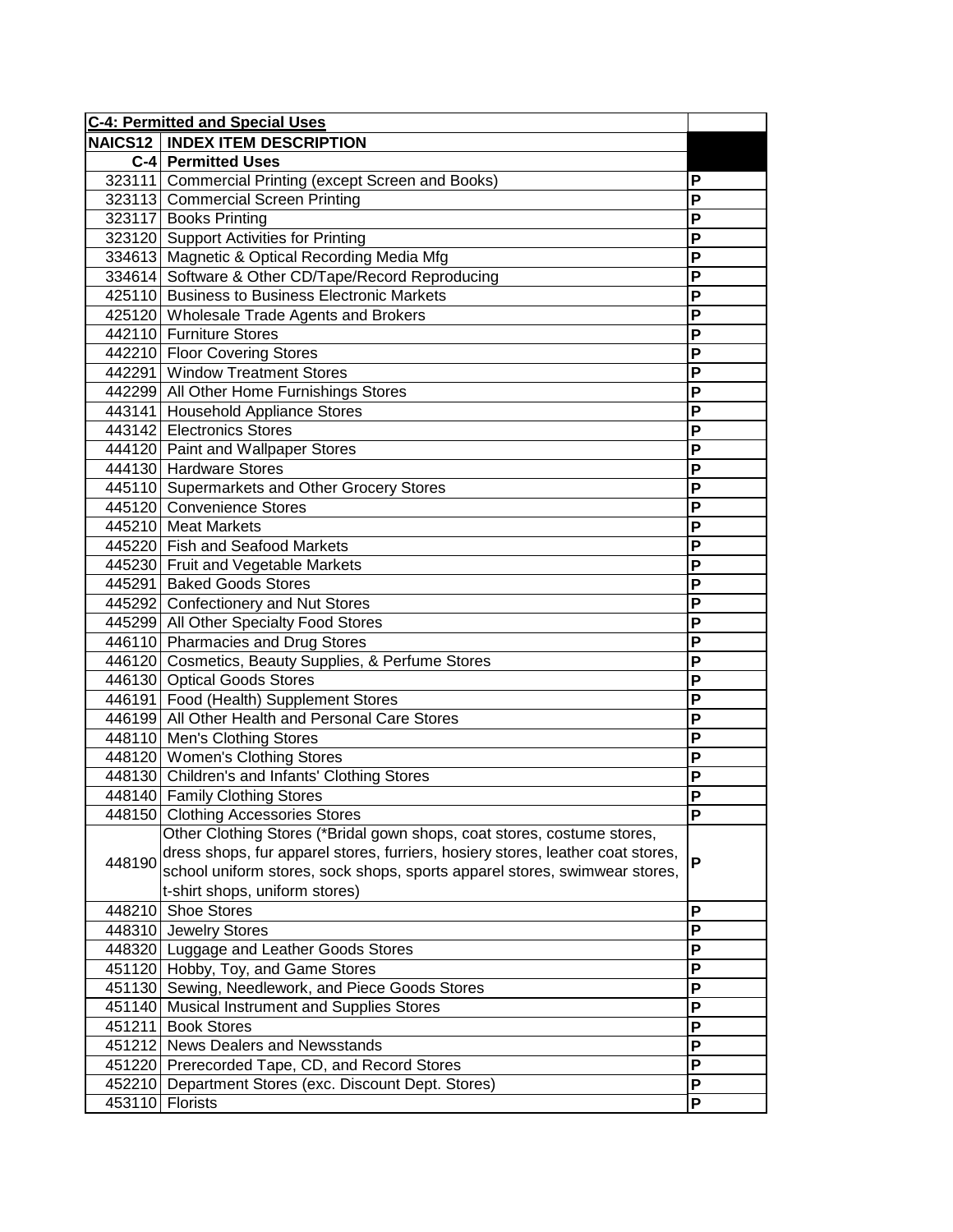| <b>C-4: Permitted and Special Uses</b> |                                                                                 |                |
|----------------------------------------|---------------------------------------------------------------------------------|----------------|
|                                        | <b>NAICS12   INDEX ITEM DESCRIPTION</b>                                         |                |
|                                        | <b>C-4 Permitted Uses</b>                                                       |                |
|                                        | 323111 Commercial Printing (except Screen and Books)                            | P              |
|                                        | 323113 Commercial Screen Printing                                               | P              |
|                                        | 323117 Books Printing                                                           | P              |
|                                        | 323120 Support Activities for Printing                                          | P              |
|                                        | 334613 Magnetic & Optical Recording Media Mfg                                   | P              |
|                                        | 334614 Software & Other CD/Tape/Record Reproducing                              | P              |
|                                        | 425110 Business to Business Electronic Markets                                  | P              |
|                                        | 425120 Wholesale Trade Agents and Brokers                                       | $\overline{P}$ |
|                                        | 442110 Furniture Stores                                                         | P              |
|                                        | 442210 Floor Covering Stores                                                    | P              |
|                                        | 442291 Window Treatment Stores                                                  | P              |
|                                        | 442299 All Other Home Furnishings Stores                                        | P              |
|                                        | 443141 Household Appliance Stores                                               | P              |
|                                        | 443142 Electronics Stores                                                       | P              |
|                                        | 444120 Paint and Wallpaper Stores                                               | P              |
|                                        | 444130 Hardware Stores                                                          | P              |
|                                        | 445110 Supermarkets and Other Grocery Stores                                    | P              |
|                                        | 445120 Convenience Stores                                                       | P              |
|                                        | 445210 Meat Markets                                                             | P              |
|                                        | 445220 Fish and Seafood Markets                                                 | P              |
|                                        | 445230 Fruit and Vegetable Markets                                              | P              |
|                                        | 445291 Baked Goods Stores                                                       | P              |
|                                        | 445292 Confectionery and Nut Stores                                             | P              |
|                                        | 445299 All Other Specialty Food Stores                                          | P              |
|                                        | 446110 Pharmacies and Drug Stores                                               | P              |
|                                        | 446120 Cosmetics, Beauty Supplies, & Perfume Stores                             | P              |
|                                        | 446130 Optical Goods Stores                                                     | P              |
|                                        | 446191 Food (Health) Supplement Stores                                          | P              |
|                                        | 446199 All Other Health and Personal Care Stores                                | P              |
|                                        | 448110 Men's Clothing Stores                                                    | P              |
|                                        | 448120 Women's Clothing Stores                                                  | P              |
|                                        | 448130 Children's and Infants' Clothing Stores                                  | P              |
|                                        | 448140 Family Clothing Stores                                                   | $\overline{P}$ |
|                                        | 448150 Clothing Accessories Stores                                              | ۲              |
|                                        | Other Clothing Stores (*Bridal gown shops, coat stores, costume stores,         |                |
| 448190                                 | dress shops, fur apparel stores, furriers, hosiery stores, leather coat stores, | P              |
|                                        | school uniform stores, sock shops, sports apparel stores, swimwear stores,      |                |
|                                        | t-shirt shops, uniform stores)                                                  |                |
|                                        | 448210 Shoe Stores                                                              | P              |
|                                        | 448310 Jewelry Stores                                                           | P              |
|                                        | 448320 Luggage and Leather Goods Stores                                         | P              |
|                                        | 451120 Hobby, Toy, and Game Stores                                              | $\mathsf{P}$   |
|                                        | 451130 Sewing, Needlework, and Piece Goods Stores                               | P              |
|                                        | 451140 Musical Instrument and Supplies Stores                                   | $\mathsf{P}$   |
|                                        | 451211 Book Stores                                                              | $\mathsf{P}$   |
|                                        | 451212 News Dealers and Newsstands                                              | $\mathsf{P}$   |
|                                        | 451220 Prerecorded Tape, CD, and Record Stores                                  | P              |
|                                        | 452210 Department Stores (exc. Discount Dept. Stores)                           | $\mathsf{P}$   |
|                                        | 453110 Florists                                                                 | P              |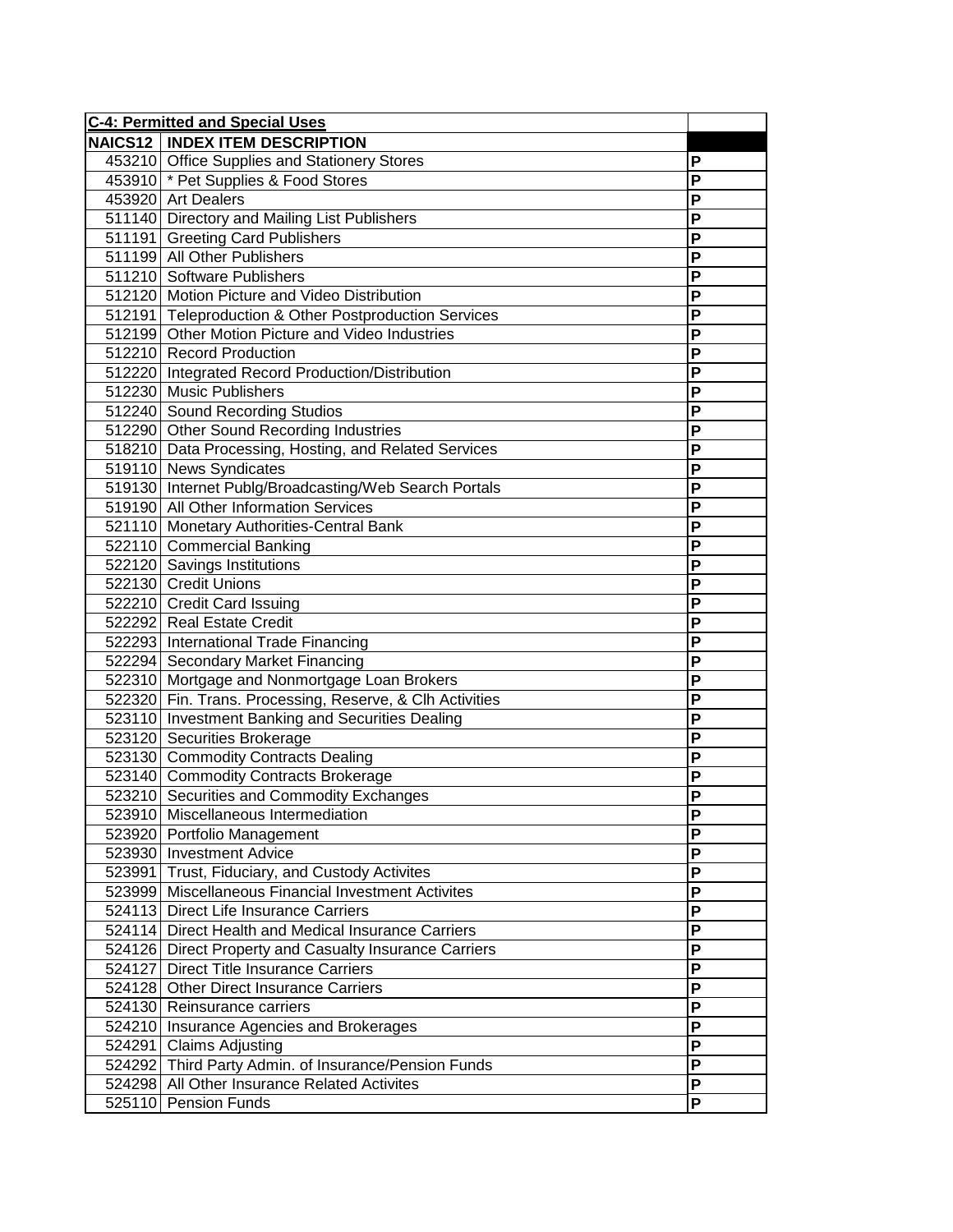| <b>C-4: Permitted and Special Uses</b> |                                                          |   |
|----------------------------------------|----------------------------------------------------------|---|
|                                        | <b>NAICS12   INDEX ITEM DESCRIPTION</b>                  |   |
|                                        | 453210 Office Supplies and Stationery Stores             | Ρ |
|                                        | 453910 * Pet Supplies & Food Stores                      | P |
|                                        | 453920 Art Dealers                                       | Ρ |
|                                        | 511140 Directory and Mailing List Publishers             | Ρ |
|                                        | 511191 Greeting Card Publishers                          | Ρ |
|                                        | 511199 All Other Publishers                              | Ρ |
|                                        | 511210 Software Publishers                               | Ρ |
|                                        | 512120 Motion Picture and Video Distribution             | P |
|                                        | 512191 Teleproduction & Other Postproduction Services    | P |
|                                        | 512199 Other Motion Picture and Video Industries         | P |
|                                        | 512210 Record Production                                 | P |
|                                        | 512220 Integrated Record Production/Distribution         | P |
|                                        | 512230 Music Publishers                                  | P |
|                                        | 512240 Sound Recording Studios                           | P |
|                                        | 512290 Other Sound Recording Industries                  | P |
|                                        | 518210 Data Processing, Hosting, and Related Services    | P |
|                                        | 519110 News Syndicates                                   | P |
|                                        | 519130 Internet Publg/Broadcasting/Web Search Portals    | P |
|                                        | 519190 All Other Information Services                    | P |
|                                        | 521110 Monetary Authorities-Central Bank                 | P |
|                                        | 522110 Commercial Banking                                | P |
|                                        | 522120 Savings Institutions                              | P |
|                                        | 522130 Credit Unions                                     | Ρ |
|                                        | 522210 Credit Card Issuing                               | P |
|                                        | 522292 Real Estate Credit                                | P |
|                                        | 522293 International Trade Financing                     | P |
|                                        | 522294 Secondary Market Financing                        | P |
|                                        | 522310 Mortgage and Nonmortgage Loan Brokers             | P |
|                                        | 522320 Fin. Trans. Processing, Reserve, & Clh Activities | P |
|                                        | 523110 Investment Banking and Securities Dealing         | P |
|                                        | 523120 Securities Brokerage                              | P |
|                                        | 523130 Commodity Contracts Dealing                       | P |
|                                        | 523140 Commodity Contracts Brokerage                     | P |
|                                        | 523210 Securities and Commodity Exchanges                | Ρ |
|                                        | 523910 Miscellaneous Intermediation                      | ۲ |
|                                        | 523920 Portfolio Management                              | Ρ |
|                                        | 523930 Investment Advice                                 | P |
|                                        | 523991 Trust, Fiduciary, and Custody Activites           | P |
|                                        | 523999 Miscellaneous Financial Investment Activites      | P |
|                                        | 524113 Direct Life Insurance Carriers                    | Ρ |
|                                        | 524114 Direct Health and Medical Insurance Carriers      | P |
|                                        | 524126 Direct Property and Casualty Insurance Carriers   | P |
|                                        | 524127 Direct Title Insurance Carriers                   | P |
|                                        | 524128 Other Direct Insurance Carriers                   | P |
|                                        | 524130 Reinsurance carriers                              | P |
|                                        | 524210 Insurance Agencies and Brokerages                 | P |
|                                        | 524291 Claims Adjusting                                  | P |
|                                        | 524292 Third Party Admin. of Insurance/Pension Funds     | P |
|                                        | 524298 All Other Insurance Related Activites             | P |
|                                        | 525110 Pension Funds                                     | P |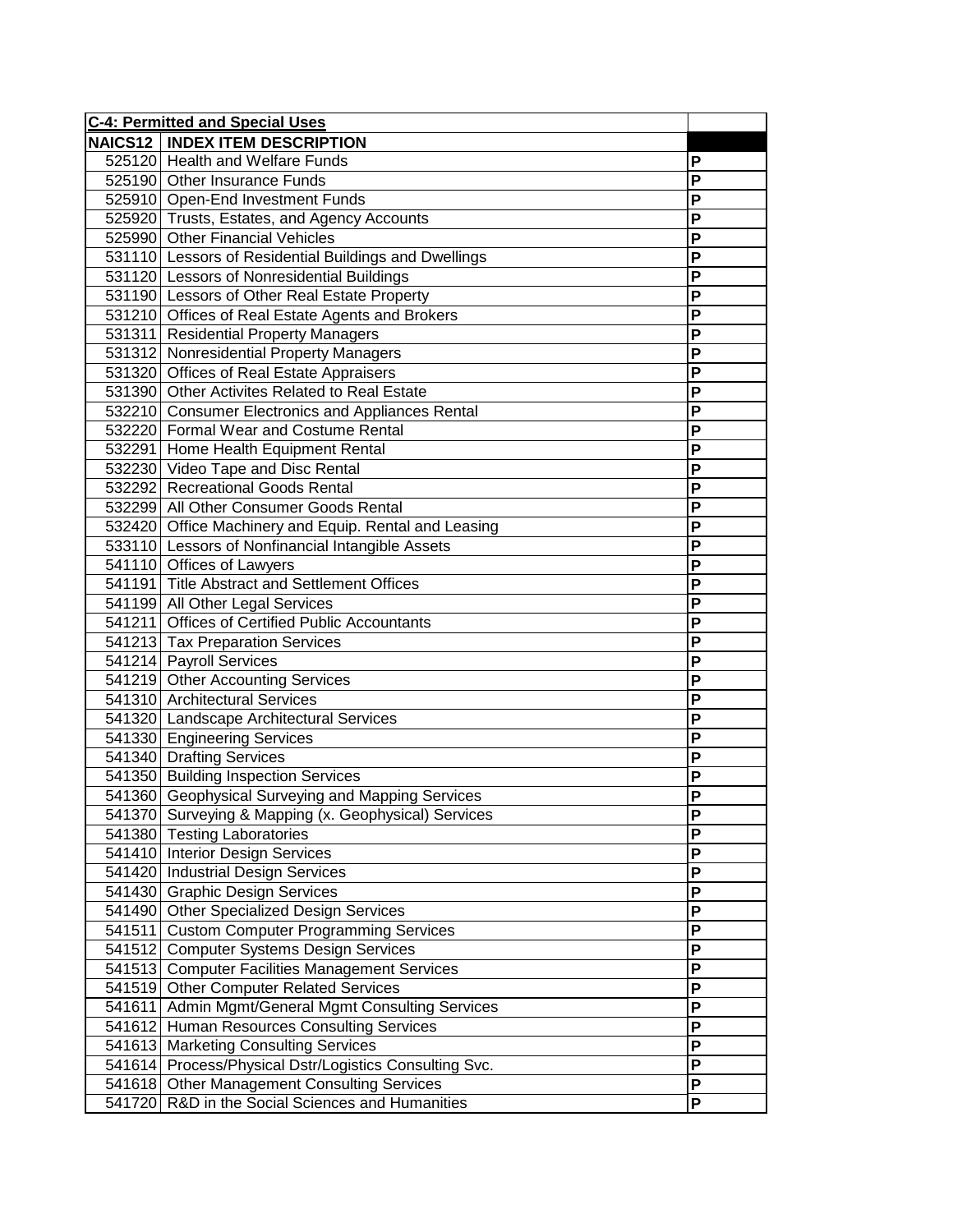| <b>C-4: Permitted and Special Uses</b>                 |                           |
|--------------------------------------------------------|---------------------------|
| <b>NAICS12   INDEX ITEM DESCRIPTION</b>                |                           |
| 525120 Health and Welfare Funds                        | P                         |
| 525190 Other Insurance Funds                           | P                         |
| 525910 Open-End Investment Funds                       | P                         |
| 525920 Trusts, Estates, and Agency Accounts            | P                         |
| 525990 Other Financial Vehicles                        | P                         |
| 531110 Lessors of Residential Buildings and Dwellings  | P                         |
| 531120 Lessors of Nonresidential Buildings             | P                         |
| 531190 Lessors of Other Real Estate Property           | $\overline{P}$            |
| 531210 Offices of Real Estate Agents and Brokers       | P                         |
| 531311 Residential Property Managers                   | P                         |
| 531312 Nonresidential Property Managers                | P                         |
| 531320 Offices of Real Estate Appraisers               | P                         |
| 531390 Other Activites Related to Real Estate          | P                         |
| 532210 Consumer Electronics and Appliances Rental      | P                         |
| 532220 Formal Wear and Costume Rental                  | P                         |
| 532291 Home Health Equipment Rental                    | P                         |
| 532230 Video Tape and Disc Rental                      | P                         |
| 532292 Recreational Goods Rental                       | P                         |
| 532299 All Other Consumer Goods Rental                 | P                         |
| 532420 Office Machinery and Equip. Rental and Leasing  | P                         |
| 533110 Lessors of Nonfinancial Intangible Assets       | P                         |
| 541110 Offices of Lawyers                              | P                         |
| 541191 Title Abstract and Settlement Offices           | P                         |
| 541199 All Other Legal Services                        | P                         |
| 541211 Offices of Certified Public Accountants         | P                         |
| 541213 Tax Preparation Services                        | P                         |
| 541214 Payroll Services                                | P                         |
| 541219 Other Accounting Services                       | P                         |
| 541310 Architectural Services                          | P                         |
| 541320 Landscape Architectural Services                | P                         |
| 541330 Engineering Services                            | P                         |
| 541340 Drafting Services                               | P                         |
| 541350 Building Inspection Services                    | $\overline{P}$            |
| 541360 Geophysical Surveying and Mapping Services      | P                         |
| 541370 Surveying & Mapping (x. Geophysical) Services   | ۲                         |
| 541380 Testing Laboratories                            | P                         |
| 541410 Interior Design Services                        | P                         |
| 541420 Industrial Design Services                      | $\boldsymbol{\mathsf{P}}$ |
| 541430 Graphic Design Services                         | P                         |
| 541490 Other Specialized Design Services               | $\mathsf P$               |
| 541511 Custom Computer Programming Services            | $\overline{P}$            |
| 541512 Computer Systems Design Services                | $\mathsf P$               |
| 541513 Computer Facilities Management Services         | P                         |
| 541519 Other Computer Related Services                 | $\mathsf P$               |
| 541611 Admin Mgmt/General Mgmt Consulting Services     | $\mathsf{P}$              |
| 541612 Human Resources Consulting Services             | $\mathsf{P}$              |
| 541613 Marketing Consulting Services                   | $\mathsf{P}$              |
| 541614 Process/Physical Dstr/Logistics Consulting Svc. | P                         |
| 541618 Other Management Consulting Services            | P                         |
| 541720 R&D in the Social Sciences and Humanities       | P                         |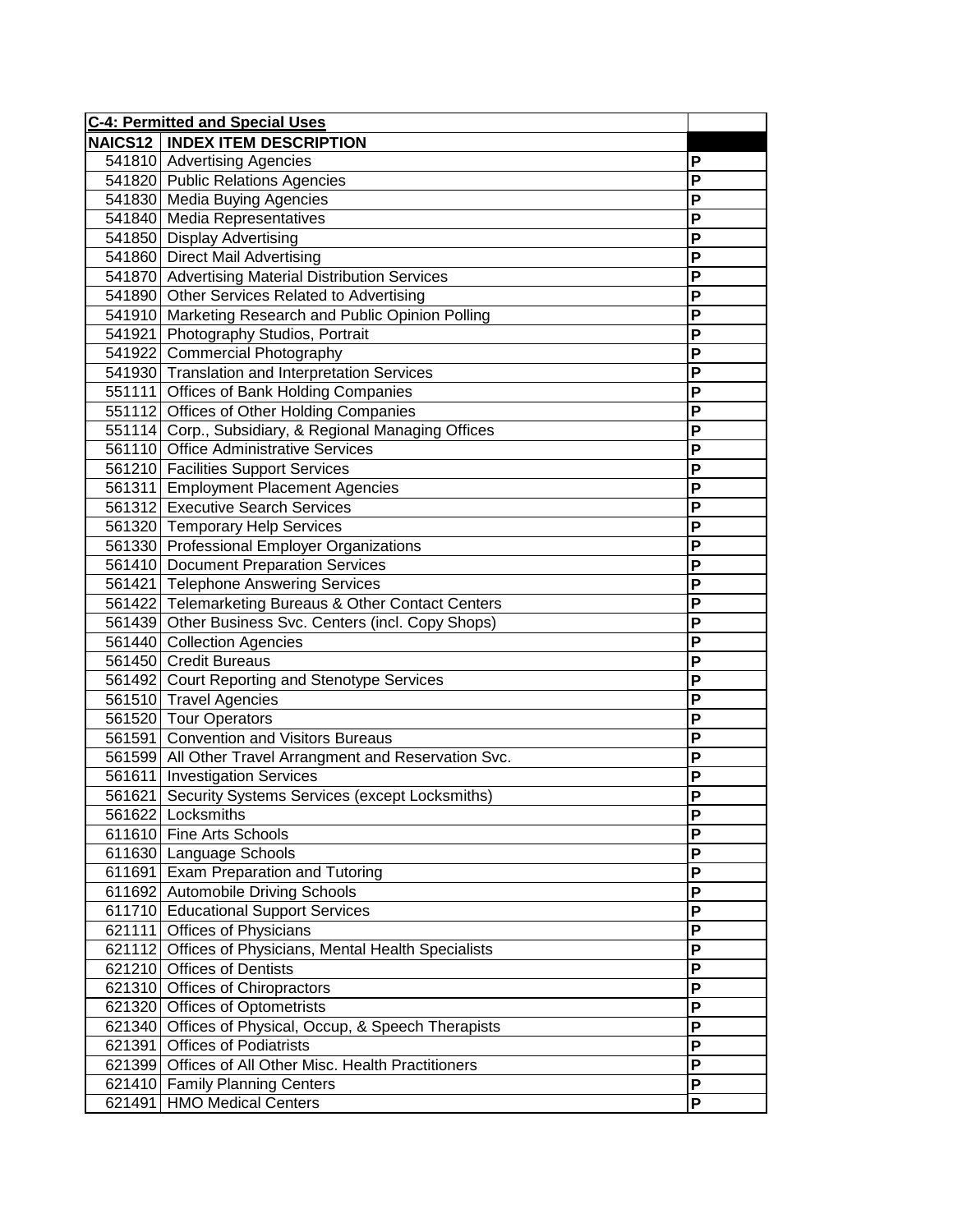| <b>C-4: Permitted and Special Uses</b> |                                                         |                |
|----------------------------------------|---------------------------------------------------------|----------------|
|                                        | <b>NAICS12   INDEX ITEM DESCRIPTION</b>                 |                |
|                                        | 541810 Advertising Agencies                             | P              |
|                                        | 541820 Public Relations Agencies                        | P              |
|                                        | 541830 Media Buying Agencies                            | P              |
|                                        | 541840 Media Representatives                            | P              |
|                                        | 541850 Display Advertising                              | P              |
|                                        | 541860 Direct Mail Advertising                          | P              |
|                                        | 541870 Advertising Material Distribution Services       | P              |
|                                        | 541890 Other Services Related to Advertising            | $\overline{P}$ |
|                                        | 541910 Marketing Research and Public Opinion Polling    | P              |
|                                        | 541921 Photography Studios, Portrait                    | P              |
|                                        | 541922 Commercial Photography                           | P              |
|                                        | 541930 Translation and Interpretation Services          | P              |
|                                        | 551111 Offices of Bank Holding Companies                | P              |
|                                        | 551112 Offices of Other Holding Companies               | P              |
|                                        | 551114 Corp., Subsidiary, & Regional Managing Offices   | P              |
|                                        | 561110 Office Administrative Services                   | $\overline{P}$ |
|                                        | 561210 Facilities Support Services                      | P              |
|                                        | 561311 Employment Placement Agencies                    | P              |
|                                        | 561312 Executive Search Services                        | P              |
|                                        | 561320 Temporary Help Services                          | P              |
|                                        | 561330 Professional Employer Organizations              | P              |
|                                        | 561410 Document Preparation Services                    | P              |
|                                        | 561421 Telephone Answering Services                     | P              |
|                                        | 561422 Telemarketing Bureaus & Other Contact Centers    | P              |
|                                        | 561439 Other Business Svc. Centers (incl. Copy Shops)   | P              |
|                                        | 561440 Collection Agencies                              | P              |
|                                        | 561450 Credit Bureaus                                   | P              |
|                                        | 561492 Court Reporting and Stenotype Services           | P              |
|                                        | 561510 Travel Agencies                                  | P              |
|                                        | 561520 Tour Operators                                   | P              |
|                                        | 561591 Convention and Visitors Bureaus                  | P              |
|                                        | 561599 All Other Travel Arrangment and Reservation Svc. | P              |
|                                        | 561611 Investigation Services                           | $\overline{P}$ |
|                                        | 561621 Security Systems Services (except Locksmiths)    | P              |
|                                        | 561622 Locksmiths                                       | ۲              |
|                                        | 611610 Fine Arts Schools                                | P              |
|                                        | 611630 Language Schools                                 | P              |
|                                        | 611691 Exam Preparation and Tutoring                    | P              |
|                                        | 611692 Automobile Driving Schools                       | P              |
|                                        | 611710 Educational Support Services                     | $\mathsf P$    |
|                                        | 621111 Offices of Physicians                            | $\overline{P}$ |
|                                        | 621112 Offices of Physicians, Mental Health Specialists | P              |
|                                        | 621210 Offices of Dentists                              | P              |
|                                        | 621310 Offices of Chiropractors                         | $\mathsf P$    |
|                                        | 621320 Offices of Optometrists                          | $\mathsf{P}$   |
|                                        | 621340 Offices of Physical, Occup, & Speech Therapists  | P              |
|                                        | 621391 Offices of Podiatrists                           | P              |
|                                        | 621399 Offices of All Other Misc. Health Practitioners  | P              |
|                                        | 621410 Family Planning Centers                          | P              |
|                                        | 621491 HMO Medical Centers                              | P              |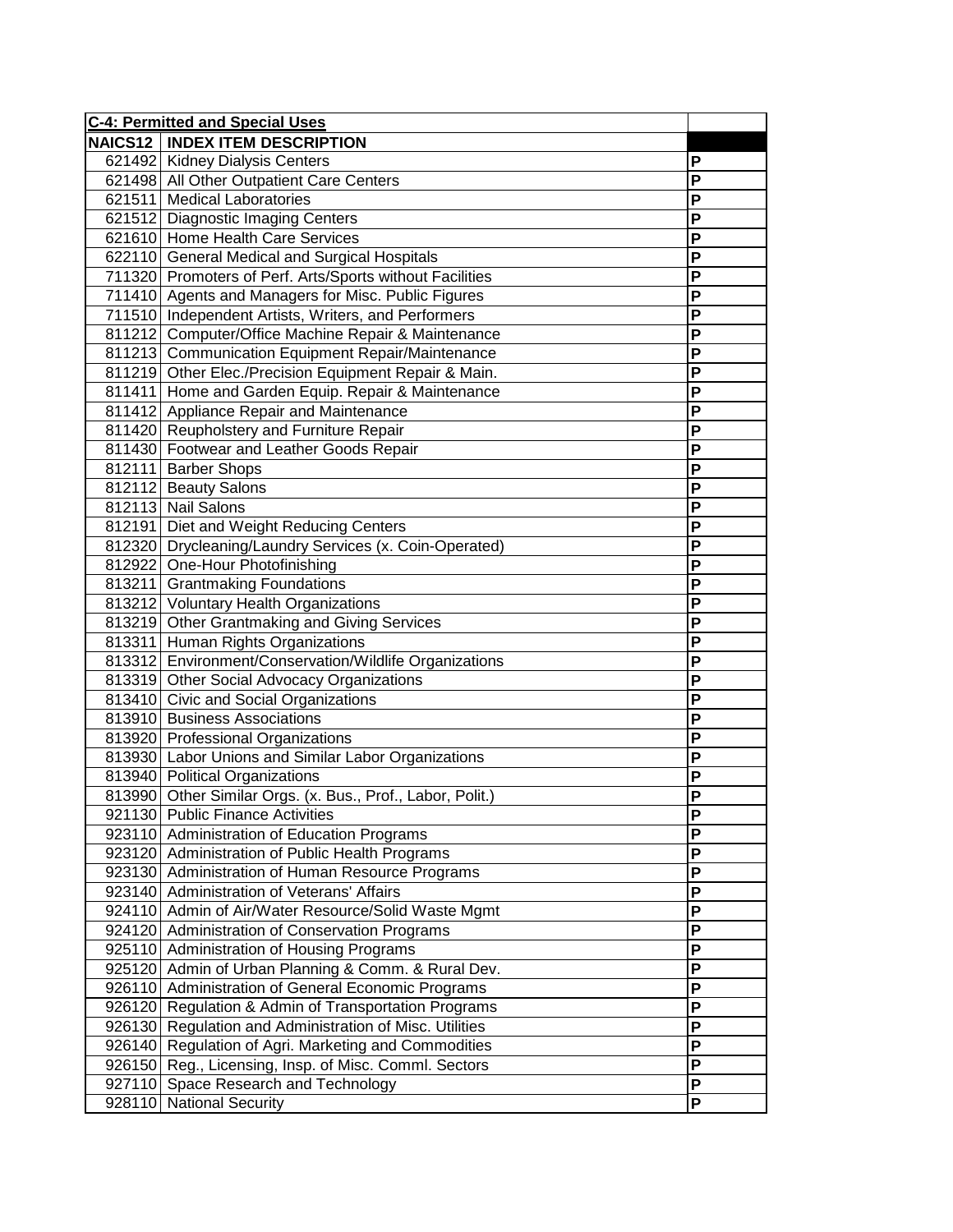| <b>C-4: Permitted and Special Uses</b> |                                                            |   |
|----------------------------------------|------------------------------------------------------------|---|
|                                        | <b>NAICS12   INDEX ITEM DESCRIPTION</b>                    |   |
|                                        | 621492 Kidney Dialysis Centers                             | Ρ |
|                                        | 621498 All Other Outpatient Care Centers                   | P |
|                                        | 621511 Medical Laboratories                                | P |
|                                        | 621512 Diagnostic Imaging Centers                          | P |
|                                        | 621610 Home Health Care Services                           | P |
|                                        | 622110 General Medical and Surgical Hospitals              | P |
|                                        | 711320 Promoters of Perf. Arts/Sports without Facilities   | P |
|                                        | 711410 Agents and Managers for Misc. Public Figures        | P |
|                                        | 711510 Independent Artists, Writers, and Performers        | P |
|                                        | 811212 Computer/Office Machine Repair & Maintenance        | P |
|                                        | 811213 Communication Equipment Repair/Maintenance          | P |
|                                        | 811219 Other Elec./Precision Equipment Repair & Main.      | P |
|                                        | 811411 Home and Garden Equip. Repair & Maintenance         | P |
|                                        | 811412 Appliance Repair and Maintenance                    | P |
|                                        | 811420 Reupholstery and Furniture Repair                   | P |
|                                        | 811430 Footwear and Leather Goods Repair                   | P |
|                                        | 812111 Barber Shops                                        | P |
|                                        | 812112 Beauty Salons                                       | P |
|                                        | 812113 Nail Salons                                         | P |
|                                        | 812191 Diet and Weight Reducing Centers                    | P |
|                                        | 812320 Drycleaning/Laundry Services (x. Coin-Operated)     | P |
|                                        | 812922 One-Hour Photofinishing                             | P |
|                                        | 813211 Grantmaking Foundations                             | P |
|                                        | 813212 Voluntary Health Organizations                      | P |
|                                        | 813219 Other Grantmaking and Giving Services               | P |
|                                        | 813311 Human Rights Organizations                          | P |
|                                        | 813312 Environment/Conservation/Wildlife Organizations     | P |
|                                        | 813319 Other Social Advocacy Organizations                 | P |
|                                        | 813410 Civic and Social Organizations                      | P |
|                                        | 813910 Business Associations                               | P |
|                                        | 813920 Professional Organizations                          | P |
|                                        | 813930 Labor Unions and Similar Labor Organizations        | P |
|                                        | 813940 Political Organizations                             | P |
|                                        | 813990 Other Similar Orgs. (x. Bus., Prof., Labor, Polit.) | P |
|                                        | 921130 Public Finance Activities                           | ۲ |
|                                        | 923110 Administration of Education Programs                | Ρ |
|                                        | 923120 Administration of Public Health Programs            | Ρ |
|                                        | 923130 Administration of Human Resource Programs           | P |
|                                        | 923140 Administration of Veterans' Affairs                 | P |
|                                        | 924110 Admin of Air/Water Resource/Solid Waste Mgmt        | P |
|                                        | 924120 Administration of Conservation Programs             | P |
|                                        | 925110 Administration of Housing Programs                  | P |
|                                        | 925120 Admin of Urban Planning & Comm. & Rural Dev.        | P |
|                                        | 926110 Administration of General Economic Programs         | P |
|                                        | 926120 Regulation & Admin of Transportation Programs       | P |
|                                        | 926130 Regulation and Administration of Misc. Utilities    | P |
|                                        | 926140 Regulation of Agri. Marketing and Commodities       | P |
|                                        | 926150 Reg., Licensing, Insp. of Misc. Comml. Sectors      | P |
|                                        | 927110 Space Research and Technology                       | P |
| 928110                                 | <b>National Security</b>                                   | P |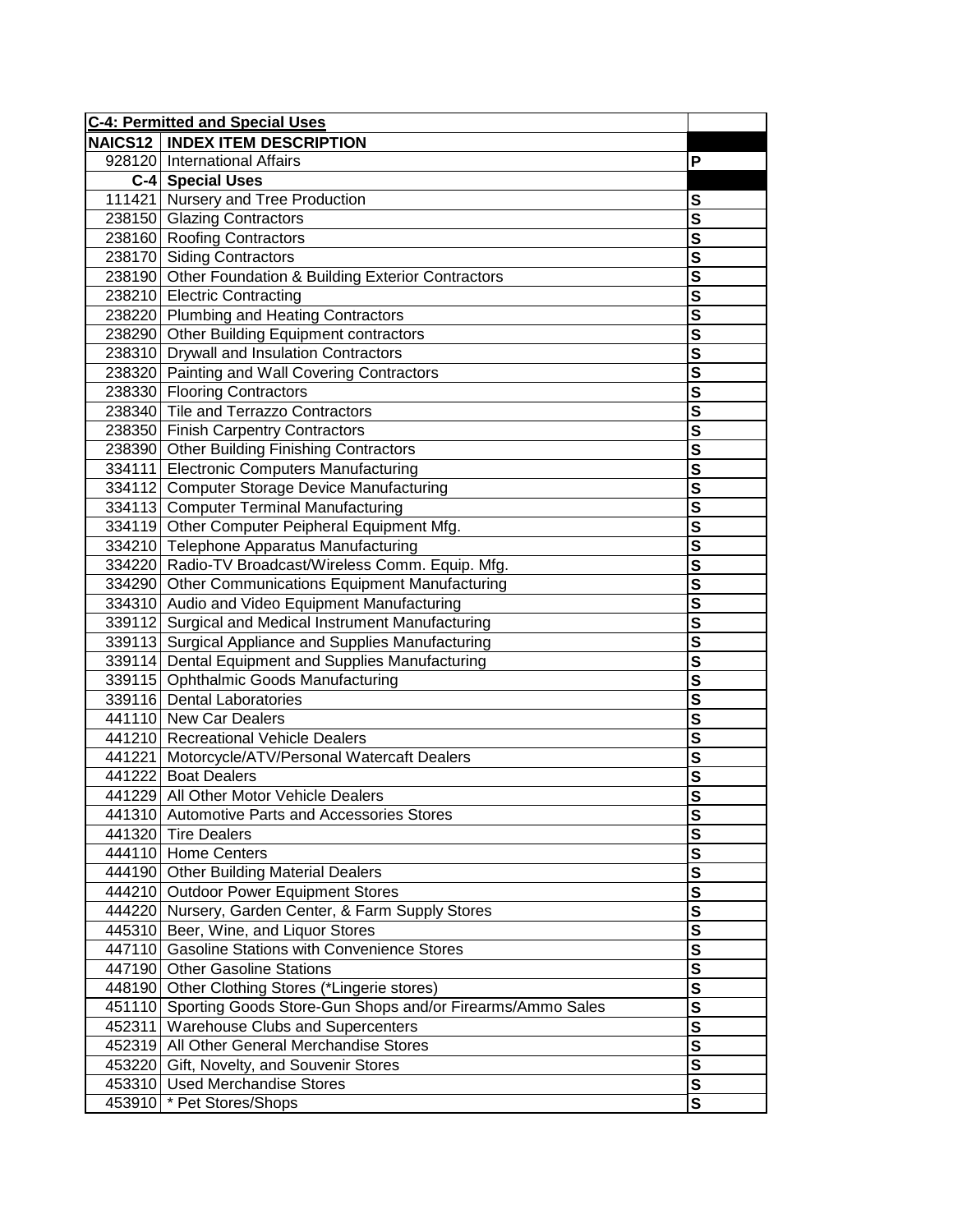| <b>NAICS12   INDEX ITEM DESCRIPTION</b><br>928120 International Affairs<br>Р<br>C-4 Special Uses<br>111421 Nursery and Tree Production<br>S<br>238150 Glazing Contractors<br>S<br>238160 Roofing Contractors<br>S<br>$\overline{\mathbf{s}}$<br>238170 Siding Contractors<br>$\overline{\mathsf{s}}$<br>238190 Other Foundation & Building Exterior Contractors<br>$\overline{\mathsf{s}}$<br>238210 Electric Contracting<br>238220 Plumbing and Heating Contractors<br>$\overline{\mathbf{s}}$<br>238290 Other Building Equipment contractors<br>$\overline{\mathbf{s}}$<br>238310 Drywall and Insulation Contractors<br>$\overline{\mathbf{s}}$<br>$\overline{\mathbf{s}}$<br>238320 Painting and Wall Covering Contractors<br>$\overline{\mathbf{s}}$<br>238330 Flooring Contractors<br>238340 Tile and Terrazzo Contractors<br>$\overline{\mathbf{s}}$<br>$\overline{\mathbf{s}}$<br>238350 Finish Carpentry Contractors<br>$\overline{\mathsf{s}}$<br>238390 Other Building Finishing Contractors<br>$\overline{\mathbf{s}}$<br>334111 Electronic Computers Manufacturing |  |
|--------------------------------------------------------------------------------------------------------------------------------------------------------------------------------------------------------------------------------------------------------------------------------------------------------------------------------------------------------------------------------------------------------------------------------------------------------------------------------------------------------------------------------------------------------------------------------------------------------------------------------------------------------------------------------------------------------------------------------------------------------------------------------------------------------------------------------------------------------------------------------------------------------------------------------------------------------------------------------------------------------------------------------------------------------------------------------|--|
|                                                                                                                                                                                                                                                                                                                                                                                                                                                                                                                                                                                                                                                                                                                                                                                                                                                                                                                                                                                                                                                                                |  |
|                                                                                                                                                                                                                                                                                                                                                                                                                                                                                                                                                                                                                                                                                                                                                                                                                                                                                                                                                                                                                                                                                |  |
|                                                                                                                                                                                                                                                                                                                                                                                                                                                                                                                                                                                                                                                                                                                                                                                                                                                                                                                                                                                                                                                                                |  |
|                                                                                                                                                                                                                                                                                                                                                                                                                                                                                                                                                                                                                                                                                                                                                                                                                                                                                                                                                                                                                                                                                |  |
|                                                                                                                                                                                                                                                                                                                                                                                                                                                                                                                                                                                                                                                                                                                                                                                                                                                                                                                                                                                                                                                                                |  |
|                                                                                                                                                                                                                                                                                                                                                                                                                                                                                                                                                                                                                                                                                                                                                                                                                                                                                                                                                                                                                                                                                |  |
|                                                                                                                                                                                                                                                                                                                                                                                                                                                                                                                                                                                                                                                                                                                                                                                                                                                                                                                                                                                                                                                                                |  |
|                                                                                                                                                                                                                                                                                                                                                                                                                                                                                                                                                                                                                                                                                                                                                                                                                                                                                                                                                                                                                                                                                |  |
|                                                                                                                                                                                                                                                                                                                                                                                                                                                                                                                                                                                                                                                                                                                                                                                                                                                                                                                                                                                                                                                                                |  |
|                                                                                                                                                                                                                                                                                                                                                                                                                                                                                                                                                                                                                                                                                                                                                                                                                                                                                                                                                                                                                                                                                |  |
|                                                                                                                                                                                                                                                                                                                                                                                                                                                                                                                                                                                                                                                                                                                                                                                                                                                                                                                                                                                                                                                                                |  |
|                                                                                                                                                                                                                                                                                                                                                                                                                                                                                                                                                                                                                                                                                                                                                                                                                                                                                                                                                                                                                                                                                |  |
|                                                                                                                                                                                                                                                                                                                                                                                                                                                                                                                                                                                                                                                                                                                                                                                                                                                                                                                                                                                                                                                                                |  |
|                                                                                                                                                                                                                                                                                                                                                                                                                                                                                                                                                                                                                                                                                                                                                                                                                                                                                                                                                                                                                                                                                |  |
|                                                                                                                                                                                                                                                                                                                                                                                                                                                                                                                                                                                                                                                                                                                                                                                                                                                                                                                                                                                                                                                                                |  |
|                                                                                                                                                                                                                                                                                                                                                                                                                                                                                                                                                                                                                                                                                                                                                                                                                                                                                                                                                                                                                                                                                |  |
|                                                                                                                                                                                                                                                                                                                                                                                                                                                                                                                                                                                                                                                                                                                                                                                                                                                                                                                                                                                                                                                                                |  |
|                                                                                                                                                                                                                                                                                                                                                                                                                                                                                                                                                                                                                                                                                                                                                                                                                                                                                                                                                                                                                                                                                |  |
| $\overline{\mathbf{s}}$<br>334112 Computer Storage Device Manufacturing                                                                                                                                                                                                                                                                                                                                                                                                                                                                                                                                                                                                                                                                                                                                                                                                                                                                                                                                                                                                        |  |
| $\overline{\mathbf{s}}$<br>334113 Computer Terminal Manufacturing                                                                                                                                                                                                                                                                                                                                                                                                                                                                                                                                                                                                                                                                                                                                                                                                                                                                                                                                                                                                              |  |
| $\overline{\mathbf{s}}$<br>334119 Other Computer Peipheral Equipment Mfg.                                                                                                                                                                                                                                                                                                                                                                                                                                                                                                                                                                                                                                                                                                                                                                                                                                                                                                                                                                                                      |  |
| $\overline{\mathbf{s}}$<br>334210 Telephone Apparatus Manufacturing                                                                                                                                                                                                                                                                                                                                                                                                                                                                                                                                                                                                                                                                                                                                                                                                                                                                                                                                                                                                            |  |
| $\overline{\mathbf{s}}$<br>334220 Radio-TV Broadcast/Wireless Comm. Equip. Mfg.                                                                                                                                                                                                                                                                                                                                                                                                                                                                                                                                                                                                                                                                                                                                                                                                                                                                                                                                                                                                |  |
| $\overline{\mathsf{s}}$<br>334290 Other Communications Equipment Manufacturing                                                                                                                                                                                                                                                                                                                                                                                                                                                                                                                                                                                                                                                                                                                                                                                                                                                                                                                                                                                                 |  |
| $\overline{\mathsf{s}}$<br>334310 Audio and Video Equipment Manufacturing                                                                                                                                                                                                                                                                                                                                                                                                                                                                                                                                                                                                                                                                                                                                                                                                                                                                                                                                                                                                      |  |
| $\overline{\mathsf{s}}$<br>339112 Surgical and Medical Instrument Manufacturing                                                                                                                                                                                                                                                                                                                                                                                                                                                                                                                                                                                                                                                                                                                                                                                                                                                                                                                                                                                                |  |
| $\overline{\mathbf{s}}$<br>339113 Surgical Appliance and Supplies Manufacturing                                                                                                                                                                                                                                                                                                                                                                                                                                                                                                                                                                                                                                                                                                                                                                                                                                                                                                                                                                                                |  |
| 339114 Dental Equipment and Supplies Manufacturing<br>$\overline{\mathbf{s}}$                                                                                                                                                                                                                                                                                                                                                                                                                                                                                                                                                                                                                                                                                                                                                                                                                                                                                                                                                                                                  |  |
| $\overline{\mathbf{s}}$<br>339115 Ophthalmic Goods Manufacturing                                                                                                                                                                                                                                                                                                                                                                                                                                                                                                                                                                                                                                                                                                                                                                                                                                                                                                                                                                                                               |  |
| $\overline{\mathbf{s}}$<br>339116 Dental Laboratories                                                                                                                                                                                                                                                                                                                                                                                                                                                                                                                                                                                                                                                                                                                                                                                                                                                                                                                                                                                                                          |  |
| $\overline{\mathbf{s}}$<br>441110 New Car Dealers                                                                                                                                                                                                                                                                                                                                                                                                                                                                                                                                                                                                                                                                                                                                                                                                                                                                                                                                                                                                                              |  |
| $\overline{\mathbf{s}}$<br>441210 Recreational Vehicle Dealers                                                                                                                                                                                                                                                                                                                                                                                                                                                                                                                                                                                                                                                                                                                                                                                                                                                                                                                                                                                                                 |  |
| $\overline{\mathbf{s}}$<br>441221 Motorcycle/ATV/Personal Watercaft Dealers                                                                                                                                                                                                                                                                                                                                                                                                                                                                                                                                                                                                                                                                                                                                                                                                                                                                                                                                                                                                    |  |
| $\overline{\mathsf{s}}$<br>441222 Boat Dealers                                                                                                                                                                                                                                                                                                                                                                                                                                                                                                                                                                                                                                                                                                                                                                                                                                                                                                                                                                                                                                 |  |
| $\overline{\mathbf{s}}$<br>441229 All Other Motor Vehicle Dealers                                                                                                                                                                                                                                                                                                                                                                                                                                                                                                                                                                                                                                                                                                                                                                                                                                                                                                                                                                                                              |  |
| 441310 Automotive Parts and Accessories Stores<br><u>s</u>                                                                                                                                                                                                                                                                                                                                                                                                                                                                                                                                                                                                                                                                                                                                                                                                                                                                                                                                                                                                                     |  |
| S<br>441320 Tire Dealers                                                                                                                                                                                                                                                                                                                                                                                                                                                                                                                                                                                                                                                                                                                                                                                                                                                                                                                                                                                                                                                       |  |
| S<br>444110 Home Centers                                                                                                                                                                                                                                                                                                                                                                                                                                                                                                                                                                                                                                                                                                                                                                                                                                                                                                                                                                                                                                                       |  |
| $\mathbf{s}$<br>444190 Other Building Material Dealers                                                                                                                                                                                                                                                                                                                                                                                                                                                                                                                                                                                                                                                                                                                                                                                                                                                                                                                                                                                                                         |  |
| $\overline{\mathbf{s}}$<br>444210 Outdoor Power Equipment Stores                                                                                                                                                                                                                                                                                                                                                                                                                                                                                                                                                                                                                                                                                                                                                                                                                                                                                                                                                                                                               |  |
| $\overline{\mathbf{s}}$<br>444220 Nursery, Garden Center, & Farm Supply Stores                                                                                                                                                                                                                                                                                                                                                                                                                                                                                                                                                                                                                                                                                                                                                                                                                                                                                                                                                                                                 |  |
| $\overline{\mathsf{s}}$<br>445310 Beer, Wine, and Liquor Stores                                                                                                                                                                                                                                                                                                                                                                                                                                                                                                                                                                                                                                                                                                                                                                                                                                                                                                                                                                                                                |  |
| $\overline{\mathbf{s}}$<br>447110 Gasoline Stations with Convenience Stores                                                                                                                                                                                                                                                                                                                                                                                                                                                                                                                                                                                                                                                                                                                                                                                                                                                                                                                                                                                                    |  |
| $\overline{\mathbf{s}}$<br>447190 Other Gasoline Stations                                                                                                                                                                                                                                                                                                                                                                                                                                                                                                                                                                                                                                                                                                                                                                                                                                                                                                                                                                                                                      |  |
| $\overline{\mathbf{s}}$<br>448190 Other Clothing Stores (*Lingerie stores)                                                                                                                                                                                                                                                                                                                                                                                                                                                                                                                                                                                                                                                                                                                                                                                                                                                                                                                                                                                                     |  |
| $\overline{\mathsf{s}}$<br>451110 Sporting Goods Store-Gun Shops and/or Firearms/Ammo Sales                                                                                                                                                                                                                                                                                                                                                                                                                                                                                                                                                                                                                                                                                                                                                                                                                                                                                                                                                                                    |  |
| $\overline{\mathbf{s}}$<br>452311 Warehouse Clubs and Supercenters                                                                                                                                                                                                                                                                                                                                                                                                                                                                                                                                                                                                                                                                                                                                                                                                                                                                                                                                                                                                             |  |
| $\overline{\mathbf{s}}$<br>452319 All Other General Merchandise Stores                                                                                                                                                                                                                                                                                                                                                                                                                                                                                                                                                                                                                                                                                                                                                                                                                                                                                                                                                                                                         |  |
| $\overline{\mathbf{s}}$<br>453220 Gift, Novelty, and Souvenir Stores                                                                                                                                                                                                                                                                                                                                                                                                                                                                                                                                                                                                                                                                                                                                                                                                                                                                                                                                                                                                           |  |
| $\overline{\mathbf{s}}$<br>453310 Used Merchandise Stores                                                                                                                                                                                                                                                                                                                                                                                                                                                                                                                                                                                                                                                                                                                                                                                                                                                                                                                                                                                                                      |  |
| $\overline{\mathbf{s}}$<br>453910 * Pet Stores/Shops                                                                                                                                                                                                                                                                                                                                                                                                                                                                                                                                                                                                                                                                                                                                                                                                                                                                                                                                                                                                                           |  |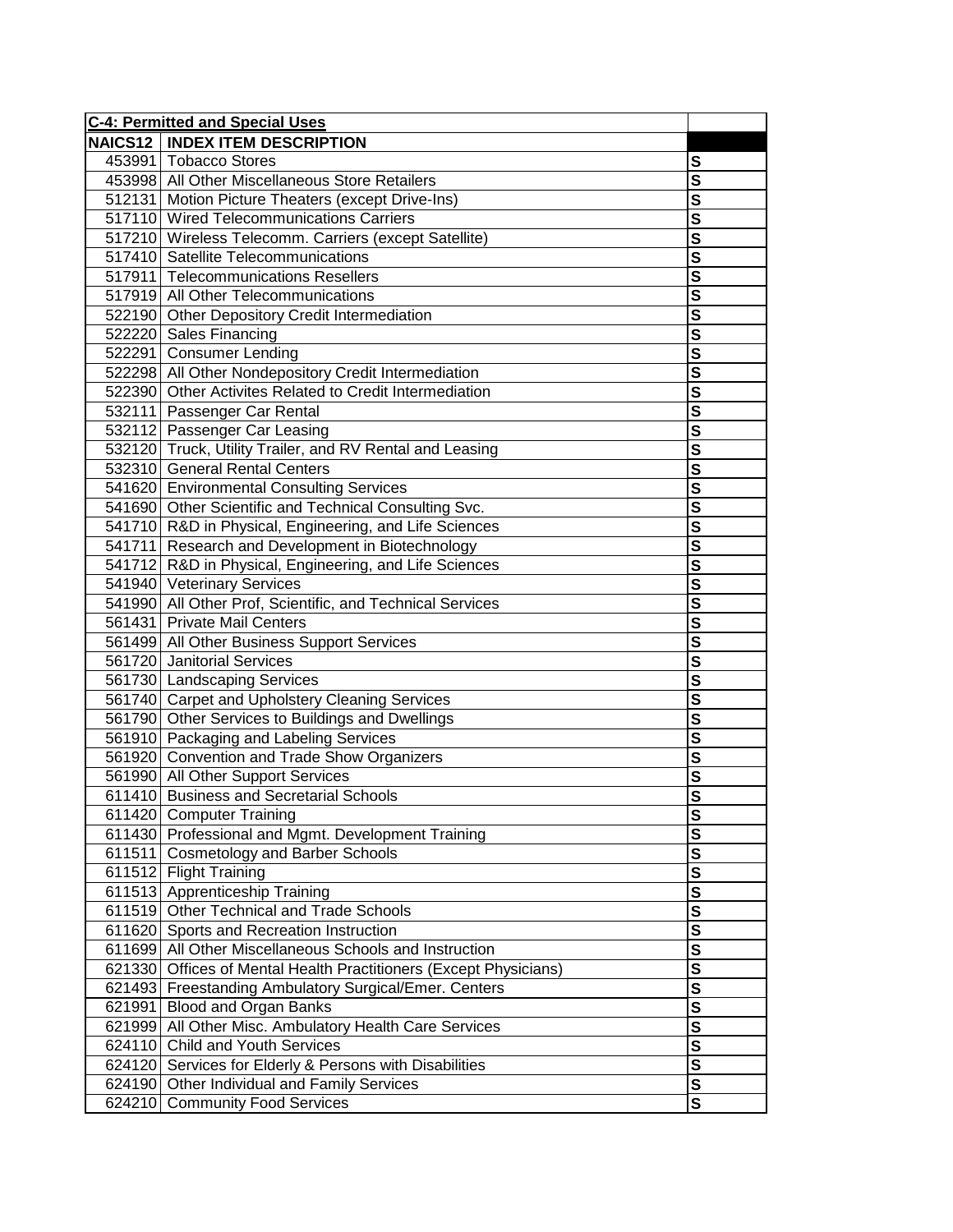| <b>C-4: Permitted and Special Uses</b>                            |                         |
|-------------------------------------------------------------------|-------------------------|
| <b>NAICS12   INDEX ITEM DESCRIPTION</b>                           |                         |
| 453991 Tobacco Stores                                             | S                       |
| 453998 All Other Miscellaneous Store Retailers                    | $\overline{\mathbf{s}}$ |
| 512131 Motion Picture Theaters (except Drive-Ins)                 | $\overline{\mathbf{s}}$ |
| 517110 Wired Telecommunications Carriers                          | $\overline{\mathbf{s}}$ |
| 517210 Wireless Telecomm. Carriers (except Satellite)             | $\overline{\mathsf{s}}$ |
| 517410 Satellite Telecommunications                               | $\overline{\mathbf{s}}$ |
| 517911 Telecommunications Resellers                               | $\overline{\mathbf{s}}$ |
| 517919 All Other Telecommunications                               | $\overline{\mathbf{s}}$ |
| 522190 Other Depository Credit Intermediation                     | $\overline{\mathsf{s}}$ |
| 522220 Sales Financing                                            | $\mathbf{s}$            |
| 522291 Consumer Lending                                           | $\overline{\mathbf{s}}$ |
| 522298 All Other Nondepository Credit Intermediation              | S                       |
| 522390 Other Activites Related to Credit Intermediation           | $\overline{\mathbf{s}}$ |
| 532111 Passenger Car Rental                                       | $\overline{\mathbf{s}}$ |
| 532112 Passenger Car Leasing                                      | $\overline{\mathbf{s}}$ |
| 532120 Truck, Utility Trailer, and RV Rental and Leasing          | $\overline{\mathsf{s}}$ |
| 532310 General Rental Centers                                     | $\overline{\mathsf{s}}$ |
| 541620 Environmental Consulting Services                          | $\overline{\mathbf{s}}$ |
| 541690 Other Scientific and Technical Consulting Svc.             | $\overline{\mathbf{s}}$ |
| 541710 R&D in Physical, Engineering, and Life Sciences            | $\overline{\mathbf{s}}$ |
| 541711 Research and Development in Biotechnology                  | $\overline{\mathbf{s}}$ |
| 541712 R&D in Physical, Engineering, and Life Sciences            | $\overline{\mathbf{s}}$ |
| 541940 Veterinary Services                                        | $\overline{\mathbf{s}}$ |
| 541990 All Other Prof, Scientific, and Technical Services         | $\overline{\mathbf{s}}$ |
| 561431 Private Mail Centers                                       | $\overline{\mathbf{s}}$ |
| 561499 All Other Business Support Services                        | $\overline{\mathbf{s}}$ |
| 561720 Janitorial Services                                        | $\overline{\mathbf{s}}$ |
| 561730 Landscaping Services                                       | S                       |
| 561740 Carpet and Upholstery Cleaning Services                    | $\overline{\mathbf{s}}$ |
| 561790 Other Services to Buildings and Dwellings                  | $\overline{\mathbf{s}}$ |
| 561910 Packaging and Labeling Services                            | $\overline{\mathbf{s}}$ |
| 561920 Convention and Trade Show Organizers                       | $\overline{\mathbf{s}}$ |
| 561990 All Other Support Services                                 | $\overline{\mathsf{s}}$ |
| 611410 Business and Secretarial Schools                           | $\overline{s}$          |
| 611420 Computer Training                                          | <u>১</u>                |
| 611430 Professional and Mgmt. Development Training                | $\mathbf s$             |
| 611511 Cosmetology and Barber Schools                             | $\overline{\mathbf{s}}$ |
| 611512 Flight Training                                            | $\overline{\mathbf{s}}$ |
| 611513 Apprenticeship Training                                    | $\mathbf{s}$            |
| 611519 Other Technical and Trade Schools                          | $\boldsymbol{s}$        |
| 611620 Sports and Recreation Instruction                          | $\overline{\mathbf{s}}$ |
| 611699 All Other Miscellaneous Schools and Instruction            | $\overline{\mathbf{s}}$ |
| 621330 Offices of Mental Health Practitioners (Except Physicians) | $\boldsymbol{s}$        |
| 621493 Freestanding Ambulatory Surgical/Emer. Centers             | $\overline{\mathbf{s}}$ |
| 621991 Blood and Organ Banks                                      | $\overline{\mathbf{s}}$ |
| 621999 All Other Misc. Ambulatory Health Care Services            | S                       |
| 624110 Child and Youth Services                                   | $\overline{\mathbf{s}}$ |
| 624120 Services for Elderly & Persons with Disabilities           | $\mathbf{s}$            |
| 624190 Other Individual and Family Services                       | $\mathbf{s}$            |
| 624210 Community Food Services                                    | S                       |